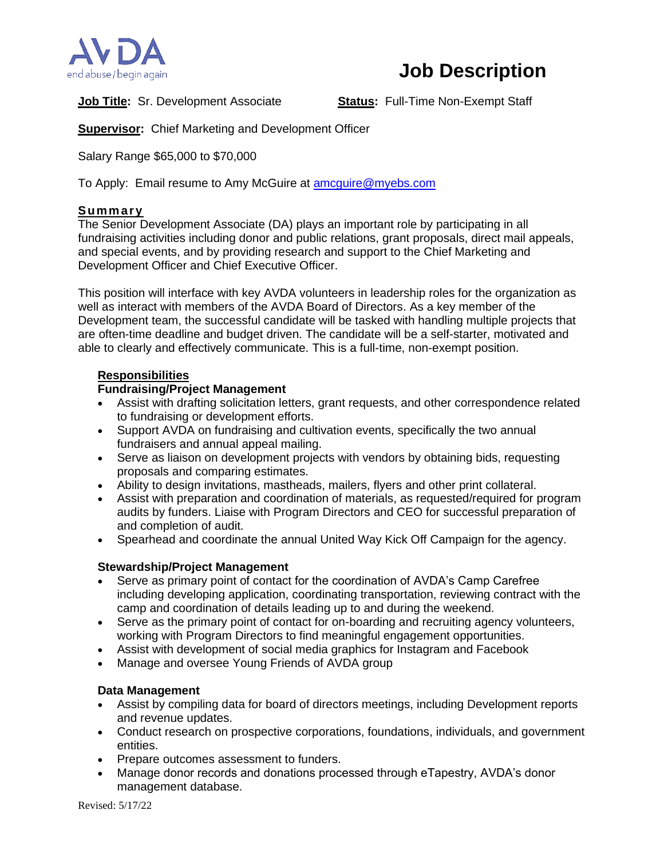

# **Job Description**

**Job Title:** Sr. Development Associate **Status:** Full-Time Non-Exempt Staff

**Supervisor:** Chief Marketing and Development Officer

Salary Range \$65,000 to \$70,000

To Apply: Email resume to Amy McGuire at **amcguire@myebs.com** 

## **Summ ary**

The Senior Development Associate (DA) plays an important role by participating in all fundraising activities including donor and public relations, grant proposals, direct mail appeals, and special events, and by providing research and support to the Chief Marketing and Development Officer and Chief Executive Officer.

This position will interface with key AVDA volunteers in leadership roles for the organization as well as interact with members of the AVDA Board of Directors. As a key member of the Development team, the successful candidate will be tasked with handling multiple projects that are often-time deadline and budget driven. The candidate will be a self-starter, motivated and able to clearly and effectively communicate. This is a full-time, non-exempt position.

## **Responsibilities**

# **Fundraising/Project Management**

- Assist with drafting solicitation letters, grant requests, and other correspondence related to fundraising or development efforts.
- Support AVDA on fundraising and cultivation events, specifically the two annual fundraisers and annual appeal mailing.
- Serve as liaison on development projects with vendors by obtaining bids, requesting proposals and comparing estimates.
- Ability to design invitations, mastheads, mailers, flyers and other print collateral.
- Assist with preparation and coordination of materials, as requested/required for program audits by funders. Liaise with Program Directors and CEO for successful preparation of and completion of audit.
- Spearhead and coordinate the annual United Way Kick Off Campaign for the agency.

## **Stewardship/Project Management**

- Serve as primary point of contact for the coordination of AVDA's Camp Carefree including developing application, coordinating transportation, reviewing contract with the camp and coordination of details leading up to and during the weekend.
- Serve as the primary point of contact for on-boarding and recruiting agency volunteers, working with Program Directors to find meaningful engagement opportunities.
- Assist with development of social media graphics for Instagram and Facebook
- Manage and oversee Young Friends of AVDA group

## **Data Management**

- Assist by compiling data for board of directors meetings, including Development reports and revenue updates.
- Conduct research on prospective corporations, foundations, individuals, and government entities.
- Prepare outcomes assessment to funders.
- Manage donor records and donations processed through eTapestry, AVDA's donor management database.